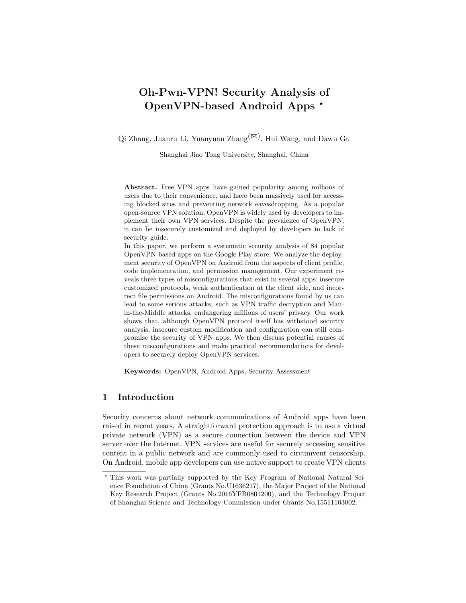# Oh-Pwn-VPN! Security Analysis of OpenVPN-based Android Apps ?

Qi Zhang, Juanru Li, Yuanyuan Zhang<sup>(⊠)</sup>, Hui Wang, and Dawu Gu

Shanghai Jiao Tong University, Shanghai, China

Abstract. Free VPN apps have gained popularity among millions of users due to their convenience, and have been massively used for accessing blocked sites and preventing network eavesdropping. As a popular open-source VPN solution, OpenVPN is widely used by developers to implement their own VPN services. Despite the prevalence of OpenVPN, it can be insecurely customized and deployed by developers in lack of security guide.

In this paper, we perform a systematic security analysis of 84 popular OpenVPN-based apps on the Google Play store. We analyze the deployment security of OpenVPN on Android from the aspects of client profile, code implementation, and permission management. Our experiment reveals three types of misconfigurations that exist in several apps: insecure customized protocols, weak authentication at the client side, and incorrect file permissions on Android. The misconfigurations found by us can lead to some serious attacks, such as VPN traffic decryption and Manin-the-Middle attacks, endangering millions of users' privacy. Our work shows that, although OpenVPN protocol itself has withstood security analysis, insecure custom modification and configuration can still compromise the security of VPN apps. We then discuss potential causes of these misconfigurations and make practical recommendations for developers to securely deploy OpenVPN services.

Keywords: OpenVPN, Android Apps, Security Assessment

## 1 Introduction

Security concerns about network communications of Android apps have been raised in recent years. A straightforward protection approach is to use a virtual private network (VPN) as a secure connection between the device and VPN server over the Internet. VPN services are useful for securely accessing sensitive content in a public network and are commonly used to circumvent censorship. On Android, mobile app developers can use native support to create VPN clients

<sup>?</sup> This work was partially supported by the Key Program of National Natural Science Foundation of China (Grants No.U1636217), the Major Project of the National Key Research Project (Grants No.2016YFB0801200), and the Technology Project of Shanghai Science and Technology Commission under Grants No.15511103002.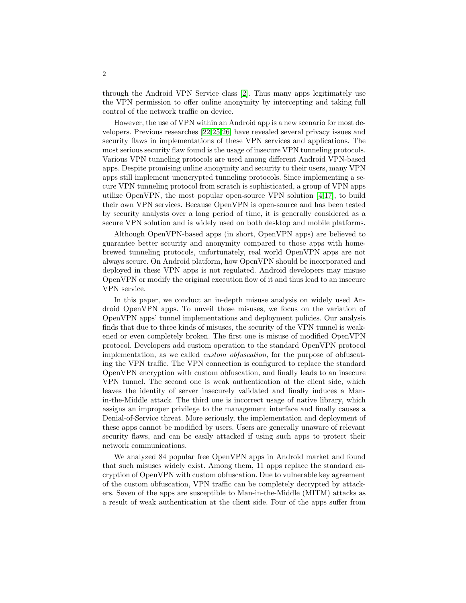through the Android VPN Service class [\[2\]](#page-14-0). Thus many apps legitimately use the VPN permission to offer online anonymity by intercepting and taking full control of the network traffic on device.

However, the use of VPN within an Android app is a new scenario for most developers. Previous researches [\[22](#page-15-0)[,25,](#page-15-1)[26\]](#page-15-2) have revealed several privacy issues and security flaws in implementations of these VPN services and applications. The most serious security flaw found is the usage of insecure VPN tunneling protocols. Various VPN tunneling protocols are used among different Android VPN-based apps. Despite promising online anonymity and security to their users, many VPN apps still implement unencrypted tunneling protocols. Since implementing a secure VPN tunneling protocol from scratch is sophisticated, a group of VPN apps utilize OpenVPN, the most popular open-source VPN solution [\[4,](#page-14-1)[17\]](#page-15-3), to build their own VPN services. Because OpenVPN is open-source and has been tested by security analysts over a long period of time, it is generally considered as a secure VPN solution and is widely used on both desktop and mobile platforms.

Although OpenVPN-based apps (in short, OpenVPN apps) are believed to guarantee better security and anonymity compared to those apps with homebrewed tunneling protocols, unfortunately, real world OpenVPN apps are not always secure. On Android platform, how OpenVPN should be incorporated and deployed in these VPN apps is not regulated. Android developers may misuse OpenVPN or modify the original execution flow of it and thus lead to an insecure VPN service.

In this paper, we conduct an in-depth misuse analysis on widely used Android OpenVPN apps. To unveil those misuses, we focus on the variation of OpenVPN apps' tunnel implementations and deployment policies. Our analysis finds that due to three kinds of misuses, the security of the VPN tunnel is weakened or even completely broken. The first one is misuse of modified OpenVPN protocol. Developers add custom operation to the standard OpenVPN protocol implementation, as we called custom obfuscation, for the purpose of obfuscating the VPN traffic. The VPN connection is configured to replace the standard OpenVPN encryption with custom obfuscation, and finally leads to an insecure VPN tunnel. The second one is weak authentication at the client side, which leaves the identity of server insecurely validated and finally induces a Manin-the-Middle attack. The third one is incorrect usage of native library, which assigns an improper privilege to the management interface and finally causes a Denial-of-Service threat. More seriously, the implementation and deployment of these apps cannot be modified by users. Users are generally unaware of relevant security flaws, and can be easily attacked if using such apps to protect their network communications.

We analyzed 84 popular free OpenVPN apps in Android market and found that such misuses widely exist. Among them, 11 apps replace the standard encryption of OpenVPN with custom obfuscation. Due to vulnerable key agreement of the custom obfuscation, VPN traffic can be completely decrypted by attackers. Seven of the apps are susceptible to Man-in-the-Middle (MITM) attacks as a result of weak authentication at the client side. Four of the apps suffer from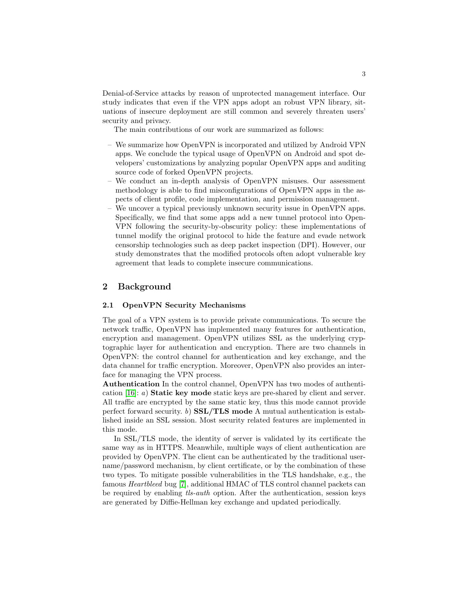Denial-of-Service attacks by reason of unprotected management interface. Our study indicates that even if the VPN apps adopt an robust VPN library, situations of insecure deployment are still common and severely threaten users' security and privacy.

The main contributions of our work are summarized as follows:

- We summarize how OpenVPN is incorporated and utilized by Android VPN apps. We conclude the typical usage of OpenVPN on Android and spot developers' customizations by analyzing popular OpenVPN apps and auditing source code of forked OpenVPN projects.
- We conduct an in-depth analysis of OpenVPN misuses. Our assessment methodology is able to find misconfigurations of OpenVPN apps in the aspects of client profile, code implementation, and permission management.
- We uncover a typical previously unknown security issue in OpenVPN apps. Specifically, we find that some apps add a new tunnel protocol into Open-VPN following the security-by-obscurity policy: these implementations of tunnel modify the original protocol to hide the feature and evade network censorship technologies such as deep packet inspection (DPI). However, our study demonstrates that the modified protocols often adopt vulnerable key agreement that leads to complete insecure communications.

## 2 Background

#### 2.1 OpenVPN Security Mechanisms

The goal of a VPN system is to provide private communications. To secure the network traffic, OpenVPN has implemented many features for authentication, encryption and management. OpenVPN utilizes SSL as the underlying cryptographic layer for authentication and encryption. There are two channels in OpenVPN: the control channel for authentication and key exchange, and the data channel for traffic encryption. Moreover, OpenVPN also provides an interface for managing the VPN process.

Authentication In the control channel, OpenVPN has two modes of authentication  $[16]$ : *a*) **Static key mode** static keys are pre-shared by client and server. All traffic are encrypted by the same static key, thus this mode cannot provide perfect forward security.  $b)$   $\text{SSL/TLS}$  mode A mutual authentication is established inside an SSL session. Most security related features are implemented in this mode.

In SSL/TLS mode, the identity of server is validated by its certificate the same way as in HTTPS. Meanwhile, multiple ways of client authentication are provided by OpenVPN. The client can be authenticated by the traditional username/password mechanism, by client certificate, or by the combination of these two types. To mitigate possible vulnerabilities in the TLS handshake, e.g., the famous Heartbleed bug [\[7\]](#page-15-5), additional HMAC of TLS control channel packets can be required by enabling tls-auth option. After the authentication, session keys are generated by Diffie-Hellman key exchange and updated periodically.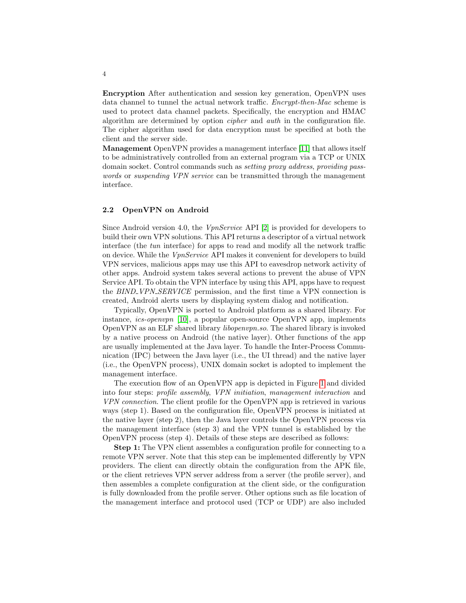Encryption After authentication and session key generation, OpenVPN uses data channel to tunnel the actual network traffic. Encrypt-then-Mac scheme is used to protect data channel packets. Specifically, the encryption and HMAC algorithm are determined by option cipher and auth in the configuration file. The cipher algorithm used for data encryption must be specified at both the client and the server side.

Management OpenVPN provides a management interface [\[11\]](#page-15-6) that allows itself to be administratively controlled from an external program via a TCP or UNIX domain socket. Control commands such as setting proxy address, providing passwords or suspending VPN service can be transmitted through the management interface.

### 2.2 OpenVPN on Android

Since Android version 4.0, the VpnService API [\[2\]](#page-14-0) is provided for developers to build their own VPN solutions. This API returns a descriptor of a virtual network interface (the tun interface) for apps to read and modify all the network traffic on device. While the VpnService API makes it convenient for developers to build VPN services, malicious apps may use this API to eavesdrop network activity of other apps. Android system takes several actions to prevent the abuse of VPN Service API. To obtain the VPN interface by using this API, apps have to request the *BIND\_VPN\_SERVICE* permission, and the first time a VPN connection is created, Android alerts users by displaying system dialog and notification.

Typically, OpenVPN is ported to Android platform as a shared library. For instance, ics-openvpn [\[10\]](#page-15-7), a popular open-source OpenVPN app, implements OpenVPN as an ELF shared library libopenvpn.so. The shared library is invoked by a native process on Android (the native layer). Other functions of the app are usually implemented at the Java layer. To handle the Inter-Process Communication (IPC) between the Java layer (i.e., the UI thread) and the native layer (i.e., the OpenVPN process), UNIX domain socket is adopted to implement the management interface.

The execution flow of an OpenVPN app is depicted in Figure [1](#page-4-0) and divided into four steps: profile assembly, VPN initiation, management interaction and VPN connection. The client profile for the OpenVPN app is retrieved in various ways (step 1). Based on the configuration file, OpenVPN process is initiated at the native layer (step 2), then the Java layer controls the OpenVPN process via the management interface (step 3) and the VPN tunnel is established by the OpenVPN process (step 4). Details of these steps are described as follows:

Step 1: The VPN client assembles a configuration profile for connecting to a remote VPN server. Note that this step can be implemented differently by VPN providers. The client can directly obtain the configuration from the APK file, or the client retrieves VPN server address from a server (the profile server), and then assembles a complete configuration at the client side, or the configuration is fully downloaded from the profile server. Other options such as file location of the management interface and protocol used (TCP or UDP) are also included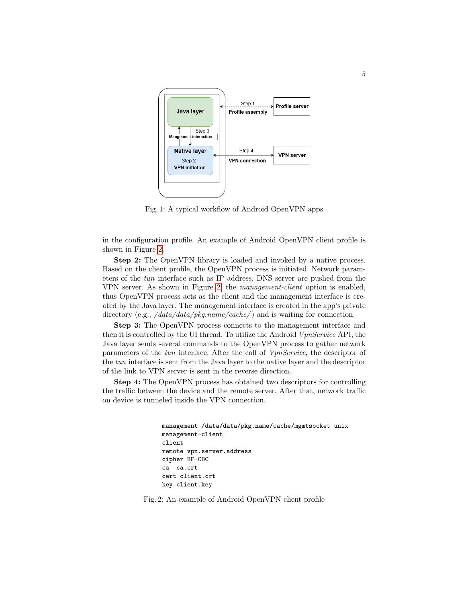<span id="page-4-0"></span>

Fig. 1: A typical workflow of Android OpenVPN apps

in the configuration profile. An example of Android OpenVPN client profile is shown in Figure [2.](#page-4-1)

Step 2: The OpenVPN library is loaded and invoked by a native process. Based on the client profile, the OpenVPN process is initiated. Network parameters of the tun interface such as IP address, DNS server are pushed from the VPN server. As shown in Figure [2,](#page-4-1) the management-client option is enabled, thus OpenVPN process acts as the client and the management interface is created by the Java layer. The management interface is created in the app's private directory (e.g.,  $\frac{data}{data}$ ,  $\frac{h}{dx}$ ,  $\frac{name}{cache}{)}$  and is waiting for connection.

Step 3: The OpenVPN process connects to the management interface and then it is controlled by the UI thread. To utilize the Android VpnService API, the Java layer sends several commands to the OpenVPN process to gather network parameters of the tun interface. After the call of VpnService, the descriptor of the tun interface is sent from the Java layer to the native layer and the descriptor of the link to VPN server is sent in the reverse direction.

<span id="page-4-1"></span>Step 4: The OpenVPN process has obtained two descriptors for controlling the traffic between the device and the remote server. After that, network traffic on device is tunneled inside the VPN connection.

```
management /data/data/pkg.name/cache/mgmtsocket unix
management-client
client
remote vpn.server.address
cipher BF-CBC
ca ca.crt
cert client.crt
key client.key
```
Fig. 2: An example of Android OpenVPN client profile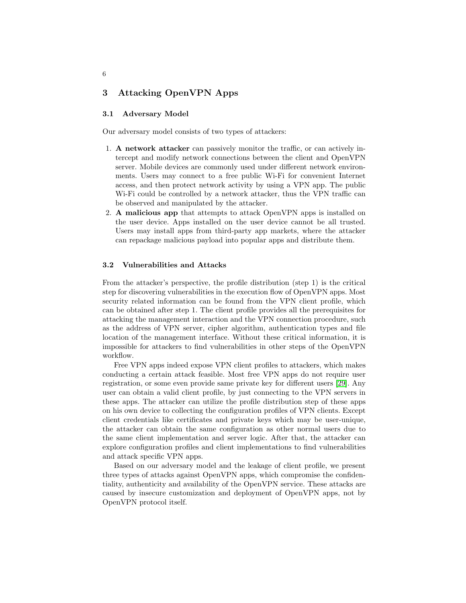# 3 Attacking OpenVPN Apps

#### 3.1 Adversary Model

Our adversary model consists of two types of attackers:

- 1. A network attacker can passively monitor the traffic, or can actively intercept and modify network connections between the client and OpenVPN server. Mobile devices are commonly used under different network environments. Users may connect to a free public Wi-Fi for convenient Internet access, and then protect network activity by using a VPN app. The public Wi-Fi could be controlled by a network attacker, thus the VPN traffic can be observed and manipulated by the attacker.
- 2. A malicious app that attempts to attack OpenVPN apps is installed on the user device. Apps installed on the user device cannot be all trusted. Users may install apps from third-party app markets, where the attacker can repackage malicious payload into popular apps and distribute them.

#### 3.2 Vulnerabilities and Attacks

From the attacker's perspective, the profile distribution (step 1) is the critical step for discovering vulnerabilities in the execution flow of OpenVPN apps. Most security related information can be found from the VPN client profile, which can be obtained after step 1. The client profile provides all the prerequisites for attacking the management interaction and the VPN connection procedure, such as the address of VPN server, cipher algorithm, authentication types and file location of the management interface. Without these critical information, it is impossible for attackers to find vulnerabilities in other steps of the OpenVPN workflow.

Free VPN apps indeed expose VPN client profiles to attackers, which makes conducting a certain attack feasible. Most free VPN apps do not require user registration, or some even provide same private key for different users [\[29\]](#page-15-8). Any user can obtain a valid client profile, by just connecting to the VPN servers in these apps. The attacker can utilize the profile distribution step of these apps on his own device to collecting the configuration profiles of VPN clients. Except client credentials like certificates and private keys which may be user-unique, the attacker can obtain the same configuration as other normal users due to the same client implementation and server logic. After that, the attacker can explore configuration profiles and client implementations to find vulnerabilities and attack specific VPN apps.

Based on our adversary model and the leakage of client profile, we present three types of attacks against OpenVPN apps, which compromise the confidentiality, authenticity and availability of the OpenVPN service. These attacks are caused by insecure customization and deployment of OpenVPN apps, not by OpenVPN protocol itself.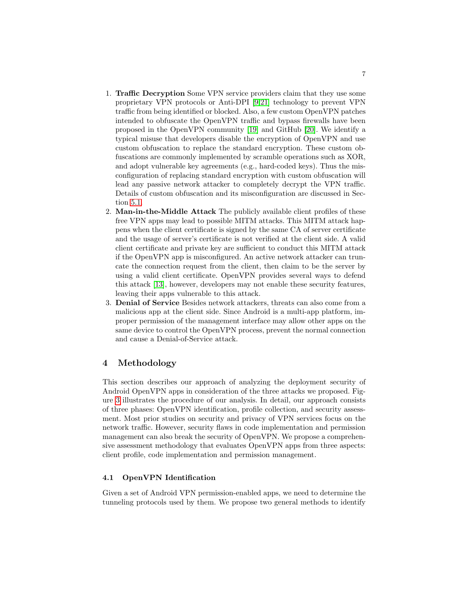- 1. Traffic Decryption Some VPN service providers claim that they use some proprietary VPN protocols or Anti-DPI [\[9,](#page-15-9)[21\]](#page-15-10) technology to prevent VPN traffic from being identified or blocked. Also, a few custom OpenVPN patches intended to obfuscate the OpenVPN traffic and bypass firewalls have been proposed in the OpenVPN community [\[19\]](#page-15-11) and GitHub [\[20\]](#page-15-12). We identify a typical misuse that developers disable the encryption of OpenVPN and use custom obfuscation to replace the standard encryption. These custom obfuscations are commonly implemented by scramble operations such as XOR, and adopt vulnerable key agreements (e.g., hard-coded keys). Thus the misconfiguration of replacing standard encryption with custom obfuscation will lead any passive network attacker to completely decrypt the VPN traffic. Details of custom obfuscation and its misconfiguration are discussed in Section [5.1.](#page-10-0)
- 2. Man-in-the-Middle Attack The publicly available client profiles of these free VPN apps may lead to possible MITM attacks. This MITM attack happens when the client certificate is signed by the same CA of server certificate and the usage of server's certificate is not verified at the client side. A valid client certificate and private key are sufficient to conduct this MITM attack if the OpenVPN app is misconfigured. An active network attacker can truncate the connection request from the client, then claim to be the server by using a valid client certificate. OpenVPN provides several ways to defend this attack [\[13\]](#page-15-13), however, developers may not enable these security features, leaving their apps vulnerable to this attack.
- 3. Denial of Service Besides network attackers, threats can also come from a malicious app at the client side. Since Android is a multi-app platform, improper permission of the management interface may allow other apps on the same device to control the OpenVPN process, prevent the normal connection and cause a Denial-of-Service attack.

# 4 Methodology

This section describes our approach of analyzing the deployment security of Android OpenVPN apps in consideration of the three attacks we proposed. Figure [3](#page-7-0) illustrates the procedure of our analysis. In detail, our approach consists of three phases: OpenVPN identification, profile collection, and security assessment. Most prior studies on security and privacy of VPN services focus on the network traffic. However, security flaws in code implementation and permission management can also break the security of OpenVPN. We propose a comprehensive assessment methodology that evaluates OpenVPN apps from three aspects: client profile, code implementation and permission management.

## 4.1 OpenVPN Identification

Given a set of Android VPN permission-enabled apps, we need to determine the tunneling protocols used by them. We propose two general methods to identify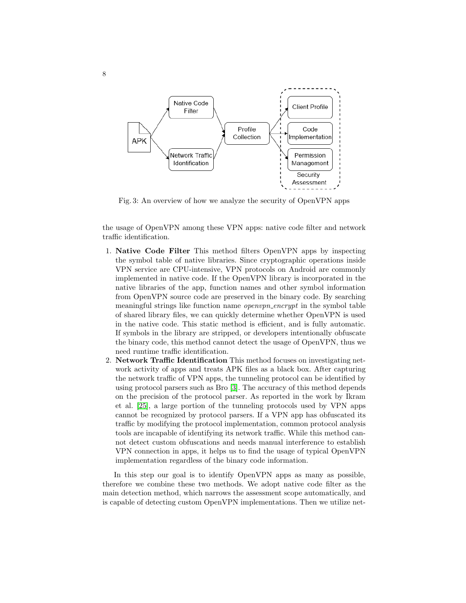<span id="page-7-0"></span>

Fig. 3: An overview of how we analyze the security of OpenVPN apps

the usage of OpenVPN among these VPN apps: native code filter and network traffic identification.

- 1. Native Code Filter This method filters OpenVPN apps by inspecting the symbol table of native libraries. Since cryptographic operations inside VPN service are CPU-intensive, VPN protocols on Android are commonly implemented in native code. If the OpenVPN library is incorporated in the native libraries of the app, function names and other symbol information from OpenVPN source code are preserved in the binary code. By searching meaningful strings like function name *openvpn\_encrypt* in the symbol table of shared library files, we can quickly determine whether OpenVPN is used in the native code. This static method is efficient, and is fully automatic. If symbols in the library are stripped, or developers intentionally obfuscate the binary code, this method cannot detect the usage of OpenVPN, thus we need runtime traffic identification.
- 2. Network Traffic Identification This method focuses on investigating network activity of apps and treats APK files as a black box. After capturing the network traffic of VPN apps, the tunneling protocol can be identified by using protocol parsers such as Bro [\[3\]](#page-14-2). The accuracy of this method depends on the precision of the protocol parser. As reported in the work by Ikram et al. [\[25\]](#page-15-1), a large portion of the tunneling protocols used by VPN apps cannot be recognized by protocol parsers. If a VPN app has obfuscated its traffic by modifying the protocol implementation, common protocol analysis tools are incapable of identifying its network traffic. While this method cannot detect custom obfuscations and needs manual interference to establish VPN connection in apps, it helps us to find the usage of typical OpenVPN implementation regardless of the binary code information.

In this step our goal is to identify OpenVPN apps as many as possible, therefore we combine these two methods. We adopt native code filter as the main detection method, which narrows the assessment scope automatically, and is capable of detecting custom OpenVPN implementations. Then we utilize net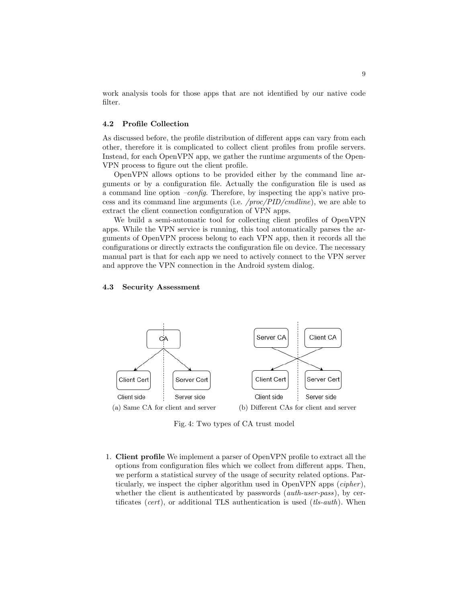work analysis tools for those apps that are not identified by our native code filter.

#### 4.2 Profile Collection

As discussed before, the profile distribution of different apps can vary from each other, therefore it is complicated to collect client profiles from profile servers. Instead, for each OpenVPN app, we gather the runtime arguments of the Open-VPN process to figure out the client profile.

OpenVPN allows options to be provided either by the command line arguments or by a configuration file. Actually the configuration file is used as a command line option  $-config$ . Therefore, by inspecting the app's native process and its command line arguments (i.e. /proc/PID/cmdline), we are able to extract the client connection configuration of VPN apps.

We build a semi-automatic tool for collecting client profiles of OpenVPN apps. While the VPN service is running, this tool automatically parses the arguments of OpenVPN process belong to each VPN app, then it records all the configurations or directly extracts the configuration file on device. The necessary manual part is that for each app we need to actively connect to the VPN server and approve the VPN connection in the Android system dialog.

#### 4.3 Security Assessment

<span id="page-8-1"></span><span id="page-8-0"></span>

<span id="page-8-2"></span>Fig. 4: Two types of CA trust model

1. Client profile We implement a parser of OpenVPN profile to extract all the options from configuration files which we collect from different apps. Then, we perform a statistical survey of the usage of security related options. Particularly, we inspect the cipher algorithm used in OpenVPN apps  $(cipher)$ , whether the client is authenticated by passwords (*auth-user-pass*), by certificates (cert), or additional TLS authentication is used ( $tls$ -auth). When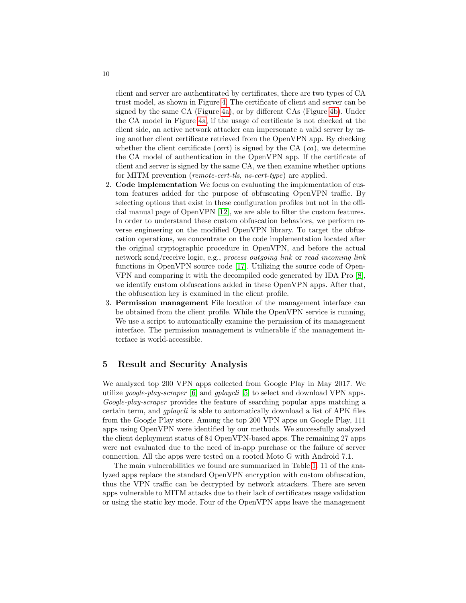client and server are authenticated by certificates, there are two types of CA trust model, as shown in Figure [4.](#page-8-0) The certificate of client and server can be signed by the same CA (Figure [4a\)](#page-8-1), or by different CAs (Figure [4b\)](#page-8-2). Under the CA model in Figure [4a,](#page-8-1) if the usage of certificate is not checked at the client side, an active network attacker can impersonate a valid server by using another client certificate retrieved from the OpenVPN app. By checking whether the client certificate (cert) is signed by the CA  $(ca)$ , we determine the CA model of authentication in the OpenVPN app. If the certificate of client and server is signed by the same CA, we then examine whether options for MITM prevention (*remote-cert-tls, ns-cert-type*) are applied.

- 2. Code implementation We focus on evaluating the implementation of custom features added for the purpose of obfuscating OpenVPN traffic. By selecting options that exist in these configuration profiles but not in the official manual page of OpenVPN [\[12\]](#page-15-14), we are able to filter the custom features. In order to understand these custom obfuscation behaviors, we perform reverse engineering on the modified OpenVPN library. To target the obfuscation operations, we concentrate on the code implementation located after the original cryptographic procedure in OpenVPN, and before the actual network send/receive logic, e.g., process\_outgoing\_link or read\_incoming\_link functions in OpenVPN source code [\[17\]](#page-15-3). Utilizing the source code of Open-VPN and comparing it with the decompiled code generated by IDA Pro [\[8\]](#page-15-15), we identify custom obfuscations added in these OpenVPN apps. After that, the obfuscation key is examined in the client profile.
- 3. Permission management File location of the management interface can be obtained from the client profile. While the OpenVPN service is running, We use a script to automatically examine the permission of its management interface. The permission management is vulnerable if the management interface is world-accessible.

## 5 Result and Security Analysis

We analyzed top 200 VPN apps collected from Google Play in May 2017. We utilize google-play-scraper [\[6\]](#page-15-16) and gplaycli [\[5\]](#page-14-3) to select and download VPN apps. Google-play-scraper provides the feature of searching popular apps matching a certain term, and gplaycli is able to automatically download a list of APK files from the Google Play store. Among the top 200 VPN apps on Google Play, 111 apps using OpenVPN were identified by our methods. We successfully analyzed the client deployment status of 84 OpenVPN-based apps. The remaining 27 apps were not evaluated due to the need of in-app purchase or the failure of server connection. All the apps were tested on a rooted Moto G with Android 7.1.

The main vulnerabilities we found are summarized in Table [1.](#page-10-1) 11 of the analyzed apps replace the standard OpenVPN encryption with custom obfuscation, thus the VPN traffic can be decrypted by network attackers. There are seven apps vulnerable to MITM attacks due to their lack of certificates usage validation or using the static key mode. Four of the OpenVPN apps leave the management

10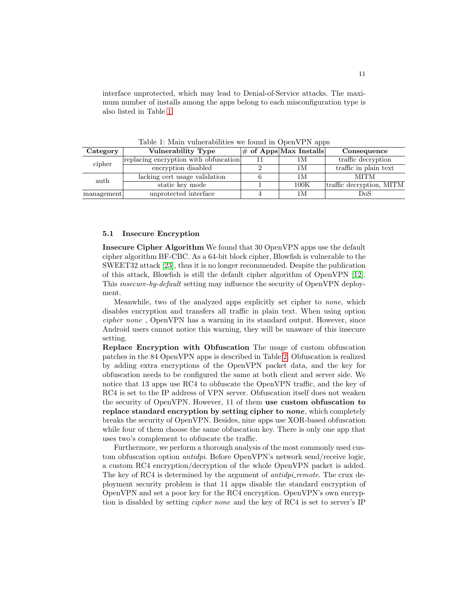interface unprotected, which may lead to Denial-of-Service attacks. The maximum number of installs among the apps belong to each misconfiguration type is also listed in Table [1.](#page-10-1)

<span id="page-10-1"></span>

| Category   | Vulnerability Type                    |  | $#$ of Apps Max Installs | Consequence              |  |  |  |
|------------|---------------------------------------|--|--------------------------|--------------------------|--|--|--|
| cipher     | replacing encryption with obfuscation |  | 1 M                      | traffic decryption       |  |  |  |
|            | encryption disabled                   |  | 1M.                      | traffic in plain text    |  |  |  |
| auth       | lacking cert usage validation         |  | 1 M                      | <b>MITM</b>              |  |  |  |
|            | static key mode                       |  | 100K                     | traffic decryption, MITM |  |  |  |
| management | unprotected interface                 |  | 1М                       | $_{\rm DoS}$             |  |  |  |

Table 1: Main vulnerabilities we found in OpenVPN apps

#### <span id="page-10-0"></span>5.1 Insecure Encryption

Insecure Cipher Algorithm We found that 30 OpenVPN apps use the default cipher algorithm BF-CBC. As a 64-bit block cipher, Blowfish is vulnerable to the SWEET32 attack [\[23\]](#page-15-17), thus it is no longer recommended. Despite the publication of this attack, Blowfish is still the default cipher algorithm of OpenVPN [\[12\]](#page-15-14). This insecure-by-default setting may influence the security of OpenVPN deployment.

Meanwhile, two of the analyzed apps explicitly set cipher to none, which disables encryption and transfers all traffic in plain text. When using option cipher none , OpenVPN has a warning in its standard output. However, since Android users cannot notice this warning, they will be unaware of this insecure setting.

Replace Encryption with Obfuscation The usage of custom obfuscation patches in the 84 OpenVPN apps is described in Table [2.](#page-11-0) Obfuscation is realized by adding extra encryptions of the OpenVPN packet data, and the key for obfuscation needs to be configured the same at both client and server side. We notice that 13 apps use RC4 to obfuscate the OpenVPN traffic, and the key of RC4 is set to the IP address of VPN server. Obfuscation itself does not weaken the security of OpenVPN. However, 11 of them use custom obfuscation to replace standard encryption by setting cipher to none, which completely breaks the security of OpenVPN. Besides, nine apps use XOR-based obfuscation while four of them choose the same obfuscation key. There is only one app that uses two's complement to obfuscate the traffic.

Furthermore, we perform a thorough analysis of the most commonly used custom obfuscation option antidpi. Before OpenVPN's network send/receive logic, a custom RC4 encryption/decryption of the whole OpenVPN packet is added. The key of RC4 is determined by the argument of *antidpi\_remote*. The crux deployment security problem is that 11 apps disable the standard encryption of OpenVPN and set a poor key for the RC4 encryption. OpenVPN's own encryption is disabled by setting cipher none and the key of RC4 is set to server's IP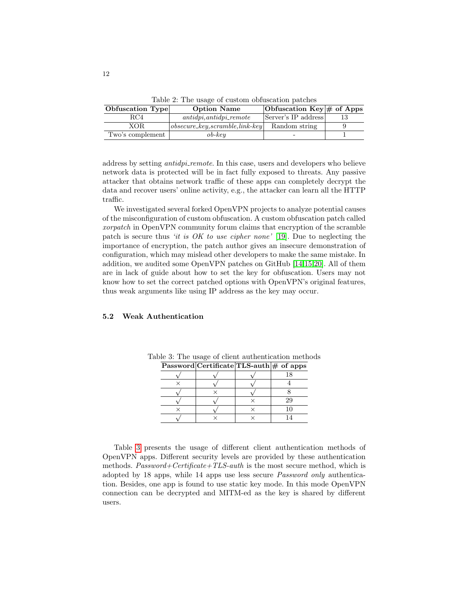<span id="page-11-0"></span>

| <b>Obfuscation Type</b> | <b>Option Name</b>                                                        | Obfuscation Key $\#$ of Apps |  |
|-------------------------|---------------------------------------------------------------------------|------------------------------|--|
| RC4                     | $antidpi, antidpi$ -remote                                                | Server's IP address          |  |
| XOR.                    | $\vert \textit{observe\_key}, \textit{scramble}, \textit{link-key} \vert$ | Random string                |  |
| Two's complement        | $ob$ - $key$                                                              |                              |  |

Table 2: The usage of custom obfuscation patches

address by setting *antidpi\_remote*. In this case, users and developers who believe network data is protected will be in fact fully exposed to threats. Any passive attacker that obtains network traffic of these apps can completely decrypt the data and recover users' online activity, e.g., the attacker can learn all the HTTP traffic.

We investigated several forked OpenVPN projects to analyze potential causes of the misconfiguration of custom obfuscation. A custom obfuscation patch called xorpatch in OpenVPN community forum claims that encryption of the scramble patch is secure thus 'it is OK to use cipher none' [\[19\]](#page-15-11). Due to neglecting the importance of encryption, the patch author gives an insecure demonstration of configuration, which may mislead other developers to make the same mistake. In addition, we audited some OpenVPN patches on GitHub [\[14,](#page-15-18)[15,](#page-15-19)[20\]](#page-15-12). All of them are in lack of guide about how to set the key for obfuscation. Users may not know how to set the correct patched options with OpenVPN's original features, thus weak arguments like using IP address as the key may occur.

#### <span id="page-11-1"></span>5.2 Weak Authentication

| Password Certificate TLS-auth $\#$ of apps |  |
|--------------------------------------------|--|
|                                            |  |
|                                            |  |
|                                            |  |
|                                            |  |
|                                            |  |
|                                            |  |

Table 3: The usage of client authentication methods

Table [3](#page-11-1) presents the usage of different client authentication methods of OpenVPN apps. Different security levels are provided by these authentication methods.  $Password + Certificance + TLS-auth$  is the most secure method, which is adopted by 18 apps, while 14 apps use less secure Password only authentication. Besides, one app is found to use static key mode. In this mode OpenVPN connection can be decrypted and MITM-ed as the key is shared by different users.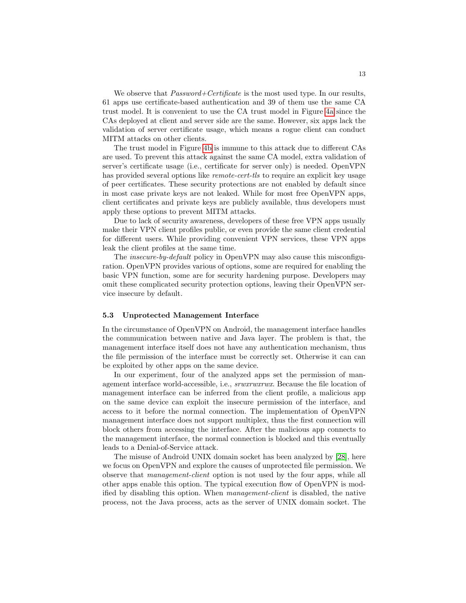We observe that  $Password+Certificate$  is the most used type. In our results, 61 apps use certificate-based authentication and 39 of them use the same CA trust model. It is convenient to use the CA trust model in Figure [4a](#page-8-1) since the CAs deployed at client and server side are the same. However, six apps lack the validation of server certificate usage, which means a rogue client can conduct MITM attacks on other clients.

The trust model in Figure [4b](#page-8-2) is immune to this attack due to different CAs are used. To prevent this attack against the same CA model, extra validation of server's certificate usage (i.e., certificate for server only) is needed. OpenVPN has provided several options like *remote-cert-tls* to require an explicit key usage of peer certificates. These security protections are not enabled by default since in most case private keys are not leaked. While for most free OpenVPN apps, client certificates and private keys are publicly available, thus developers must apply these options to prevent MITM attacks.

Due to lack of security awareness, developers of these free VPN apps usually make their VPN client profiles public, or even provide the same client credential for different users. While providing convenient VPN services, these VPN apps leak the client profiles at the same time.

The insecure-by-default policy in OpenVPN may also cause this misconfiguration. OpenVPN provides various of options, some are required for enabling the basic VPN function, some are for security hardening purpose. Developers may omit these complicated security protection options, leaving their OpenVPN service insecure by default.

#### 5.3 Unprotected Management Interface

In the circumstance of OpenVPN on Android, the management interface handles the communication between native and Java layer. The problem is that, the management interface itself does not have any authentication mechanism, thus the file permission of the interface must be correctly set. Otherwise it can can be exploited by other apps on the same device.

In our experiment, four of the analyzed apps set the permission of management interface world-accessible, i.e., srwxrwxrwx. Because the file location of management interface can be inferred from the client profile, a malicious app on the same device can exploit the insecure permission of the interface, and access to it before the normal connection. The implementation of OpenVPN management interface does not support multiplex, thus the first connection will block others from accessing the interface. After the malicious app connects to the management interface, the normal connection is blocked and this eventually leads to a Denial-of-Service attack.

The misuse of Android UNIX domain socket has been analyzed by [\[28\]](#page-15-20), here we focus on OpenVPN and explore the causes of unprotected file permission. We observe that management-client option is not used by the four apps, while all other apps enable this option. The typical execution flow of OpenVPN is modified by disabling this option. When management-client is disabled, the native process, not the Java process, acts as the server of UNIX domain socket. The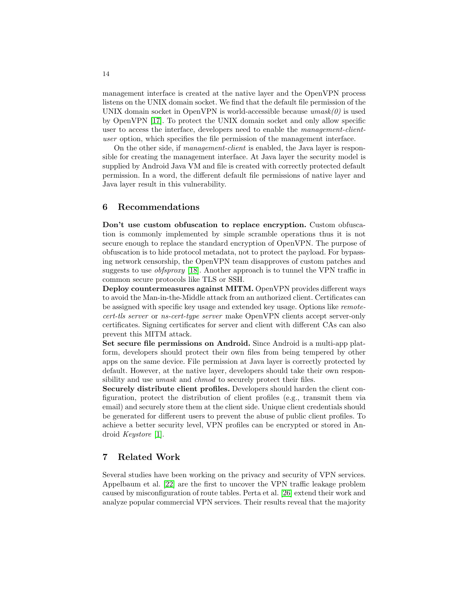management interface is created at the native layer and the OpenVPN process listens on the UNIX domain socket. We find that the default file permission of the UNIX domain socket in OpenVPN is world-accessible because  $umask(0)$  is used by OpenVPN [\[17\]](#page-15-3). To protect the UNIX domain socket and only allow specific user to access the interface, developers need to enable the management-clientuser option, which specifies the file permission of the management interface.

On the other side, if management-client is enabled, the Java layer is responsible for creating the management interface. At Java layer the security model is supplied by Android Java VM and file is created with correctly protected default permission. In a word, the different default file permissions of native layer and Java layer result in this vulnerability.

## 6 Recommendations

Don't use custom obfuscation to replace encryption. Custom obfuscation is commonly implemented by simple scramble operations thus it is not secure enough to replace the standard encryption of OpenVPN. The purpose of obfuscation is to hide protocol metadata, not to protect the payload. For bypassing network censorship, the OpenVPN team disapproves of custom patches and suggests to use *obfsproxy* [\[18\]](#page-15-21). Another approach is to tunnel the VPN traffic in common secure protocols like TLS or SSH.

Deploy countermeasures against MITM. OpenVPN provides different ways to avoid the Man-in-the-Middle attack from an authorized client. Certificates can be assigned with specific key usage and extended key usage. Options like remotecert-tls server or ns-cert-type server make OpenVPN clients accept server-only certificates. Signing certificates for server and client with different CAs can also prevent this MITM attack.

Set secure file permissions on Android. Since Android is a multi-app platform, developers should protect their own files from being tempered by other apps on the same device. File permission at Java layer is correctly protected by default. However, at the native layer, developers should take their own responsibility and use *umask* and *chmod* to securely protect their files.

Securely distribute client profiles. Developers should harden the client configuration, protect the distribution of client profiles (e.g., transmit them via email) and securely store them at the client side. Unique client credentials should be generated for different users to prevent the abuse of public client profiles. To achieve a better security level, VPN profiles can be encrypted or stored in Android Keystore [\[1\]](#page-14-4).

# 7 Related Work

Several studies have been working on the privacy and security of VPN services. Appelbaum et al. [\[22\]](#page-15-0) are the first to uncover the VPN traffic leakage problem caused by misconfiguration of route tables. Perta et al. [\[26\]](#page-15-2) extend their work and analyze popular commercial VPN services. Their results reveal that the majority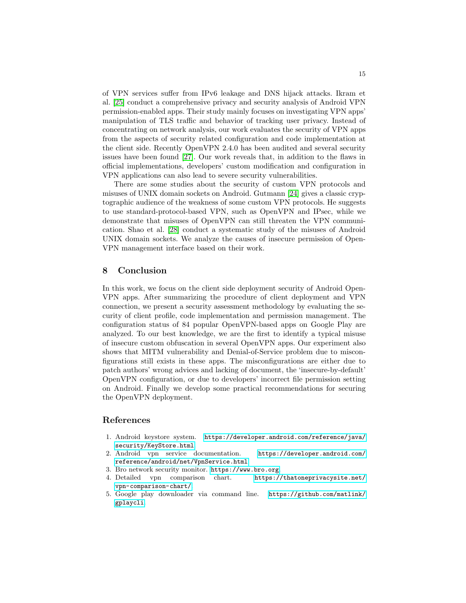of VPN services suffer from IPv6 leakage and DNS hijack attacks. Ikram et al. [\[25\]](#page-15-1) conduct a comprehensive privacy and security analysis of Android VPN permission-enabled apps. Their study mainly focuses on investigating VPN apps' manipulation of TLS traffic and behavior of tracking user privacy. Instead of concentrating on network analysis, our work evaluates the security of VPN apps from the aspects of security related configuration and code implementation at the client side. Recently OpenVPN 2.4.0 has been audited and several security issues have been found [\[27\]](#page-15-22). Our work reveals that, in addition to the flaws in official implementations, developers' custom modification and configuration in VPN applications can also lead to severe security vulnerabilities.

There are some studies about the security of custom VPN protocols and misuses of UNIX domain sockets on Android. Gutmann [\[24\]](#page-15-23) gives a classic cryptographic audience of the weakness of some custom VPN protocols. He suggests to use standard-protocol-based VPN, such as OpenVPN and IPsec, while we demonstrate that misuses of OpenVPN can still threaten the VPN communication. Shao et al. [\[28\]](#page-15-20) conduct a systematic study of the misuses of Android UNIX domain sockets. We analyze the causes of insecure permission of Open-VPN management interface based on their work.

## 8 Conclusion

In this work, we focus on the client side deployment security of Android Open-VPN apps. After summarizing the procedure of client deployment and VPN connection, we present a security assessment methodology by evaluating the security of client profile, code implementation and permission management. The configuration status of 84 popular OpenVPN-based apps on Google Play are analyzed. To our best knowledge, we are the first to identify a typical misuse of insecure custom obfuscation in several OpenVPN apps. Our experiment also shows that MITM vulnerability and Denial-of-Service problem due to misconfigurations still exists in these apps. The misconfigurations are either due to patch authors' wrong advices and lacking of document, the 'insecure-by-default' OpenVPN configuration, or due to developers' incorrect file permission setting on Android. Finally we develop some practical recommendations for securing the OpenVPN deployment.

## References

- <span id="page-14-4"></span>1. Android keystore system. [https://developer.android.com/reference/java/](https://developer.android.com/reference/java/security/KeyStore.html) [security/KeyStore.html](https://developer.android.com/reference/java/security/KeyStore.html).
- <span id="page-14-0"></span>2. Android vpn service documentation. [https://developer.android.com/](https://developer.android.com/reference/android/net/VpnService.html) [reference/android/net/VpnService.html](https://developer.android.com/reference/android/net/VpnService.html).
- <span id="page-14-2"></span>3. Bro network security monitor. <https://www.bro.org>.
- <span id="page-14-1"></span>4. Detailed vpn comparison chart. [https://thatoneprivacysite.net/](https://thatoneprivacysite.net/vpn-comparison-chart/) [vpn-comparison-chart/](https://thatoneprivacysite.net/vpn-comparison-chart/).
- <span id="page-14-3"></span>5. Google play downloader via command line. [https://github.com/matlink/](https://github.com/matlink/gplaycli) [gplaycli](https://github.com/matlink/gplaycli).